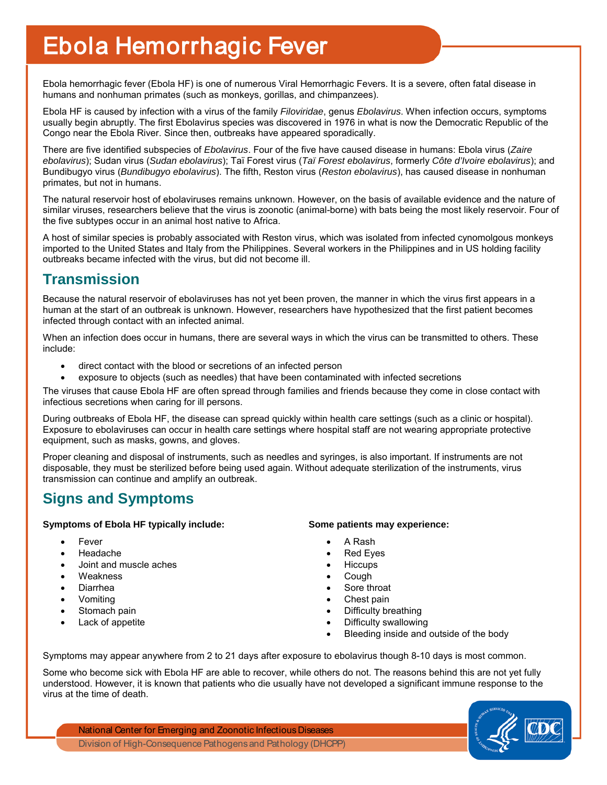# Ebola Hemorrhagic Fever

Ebola hemorrhagic fever (Ebola HF) is one of numerous Viral Hemorrhagic Fevers. It is a severe, often fatal disease in humans and nonhuman primates (such as monkeys, gorillas, and chimpanzees).

Ebola HF is caused by infection with a virus of the family *Filoviridae*, genus *Ebolavirus*. When infection occurs, symptoms usually begin abruptly. The first Ebolavirus species was discovered in 1976 in what is now the Democratic Republic of the Congo near the Ebola River. Since then, outbreaks have appeared sporadically.

There are five identified subspecies of *Ebolavirus*. Four of the five have caused disease in humans: Ebola virus (*Zaire ebolavirus*); Sudan virus (*Sudan ebolavirus*); Taï Forest virus (*Taï Forest ebolavirus*, formerly *Côte d'Ivoire ebolavirus*); and Bundibugyo virus (*Bundibugyo ebolavirus*). The fifth, Reston virus (*Reston ebolavirus*), has caused disease in nonhuman primates, but not in humans.

The natural reservoir host of ebolaviruses remains unknown. However, on the basis of available evidence and the nature of similar viruses, researchers believe that the virus is zoonotic (animal-borne) with bats being the most likely reservoir. Four of the five subtypes occur in an animal host native to Africa.

A host of similar species is probably associated with Reston virus, which was isolated from infected cynomolgous monkeys imported to the United States and Italy from the Philippines. Several workers in the Philippines and in US holding facility outbreaks became infected with the virus, but did not become ill.

### **Transmission**

Because the natural reservoir of ebolaviruses has not yet been proven, the manner in which the virus first appears in a human at the start of an outbreak is unknown. However, researchers have hypothesized that the first patient becomes infected through contact with an infected animal.

When an infection does occur in humans, there are several ways in which the virus can be transmitted to others. These include:

- direct contact with the blood or secretions of an infected person
- exposure to objects (such as needles) that have been contaminated with infected secretions

The viruses that cause Ebola HF are often spread through families and friends because they come in close contact with infectious secretions when caring for ill persons.

During outbreaks of Ebola HF, the disease can spread quickly within health care settings (such as a clinic or hospital). Exposure to ebolaviruses can occur in health care settings where hospital staff are not wearing appropriate protective equipment, such as masks, gowns, and gloves.

Proper cleaning and disposal of instruments, such as needles and syringes, is also important. If instruments are not disposable, they must be sterilized before being used again. Without adequate sterilization of the instruments, virus transmission can continue and amplify an outbreak.

# **Signs and Symptoms**

#### **Symptoms of Ebola HF typically include: Some patients may experience:**

- **Fever**
- Headache
- Joint and muscle aches
- **Weakness**
- Diarrhea
- Vomiting
- Stomach pain
- Lack of appetite

- A Rash
- Red Eyes
- Hiccups
- Cough
- Sore throat
- Chest pain
- Difficulty breathing
- Difficulty swallowing
- Bleeding inside and outside of the body

Symptoms may appear anywhere from 2 to 21 days after exposure to ebolavirus though 8-10 days is most common.

Some who become sick with Ebola HF are able to recover, while others do not. The reasons behind this are not yet fully understood. However, it is known that patients who die usually have not developed a significant immune response to the virus at the time of death.

National Center for Emerging and Zoonotic Infectious Diseases Division of High-Consequence Pathogens and Pathology (DHCPP)

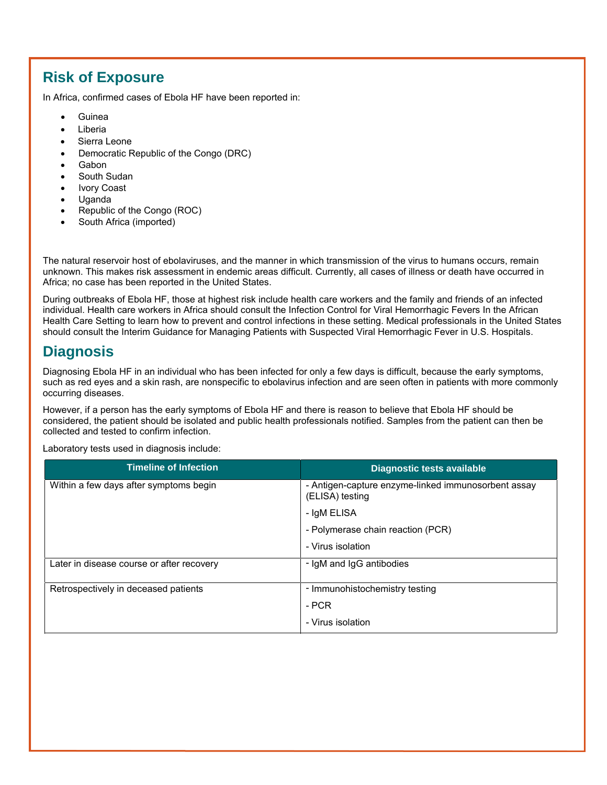## **Risk of Exposure**

In Africa, confirmed cases of Ebola HF have been reported in:

- Guinea
- Liberia
- Sierra Leone
- Democratic Republic of the Congo (DRC)
- Gabon
- South Sudan
- Ivory Coast
- Uganda
- Republic of the Congo (ROC)
- South Africa (imported)

The natural reservoir host of ebolaviruses, and the manner in which transmission of the virus to humans occurs, remain unknown. This makes risk assessment in endemic areas difficult. Currently, all cases of illness or death have occurred in Africa; no case has been reported in the United States.

During outbreaks of Ebola HF, those at highest risk include health care workers and the family and friends of an infected individual. Health care workers in Africa should consult the Infection Control for Viral Hemorrhagic Fevers In the African Health Care Setting to learn how to prevent and control infections in these setting. Medical professionals in the United States should consult the Interim Guidance for Managing Patients with Suspected Viral Hemorrhagic Fever in U.S. Hospitals.

#### **Diagnosis**

Diagnosing Ebola HF in an individual who has been infected for only a few days is difficult, because the early symptoms, such as red eyes and a skin rash, are nonspecific to ebolavirus infection and are seen often in patients with more commonly occurring diseases.

However, if a person has the early symptoms of Ebola HF and there is reason to believe that Ebola HF should be considered, the patient should be isolated and public health professionals notified. Samples from the patient can then be collected and tested to confirm infection.

Laboratory tests used in diagnosis include:

| <b>Timeline of Infection</b>              | Diagnostic tests available                                             |
|-------------------------------------------|------------------------------------------------------------------------|
| Within a few days after symptoms begin    | - Antigen-capture enzyme-linked immunosorbent assay<br>(ELISA) testing |
|                                           | - IgM ELISA                                                            |
|                                           | - Polymerase chain reaction (PCR)                                      |
|                                           | - Virus isolation                                                      |
| Later in disease course or after recovery | - IgM and IgG antibodies                                               |
| Retrospectively in deceased patients      | - Immunohistochemistry testing                                         |
|                                           | - PCR                                                                  |
|                                           | - Virus isolation                                                      |